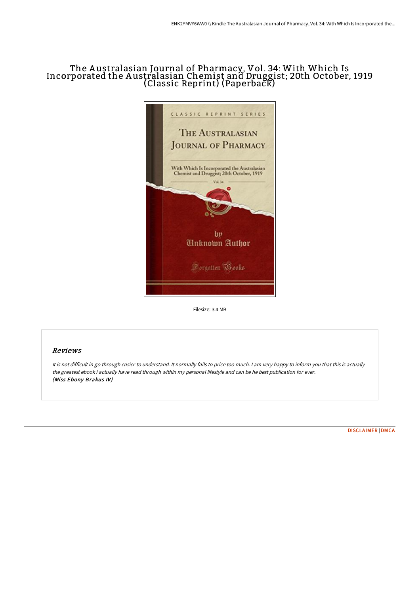# The A ustralasian Journal of Pharmacy, Vol. 34: With Which Is Incorporated the A ustralasian Chemist and Druggist; 20th October, 1919 (Classic Reprint) (Paperback)



Filesize: 3.4 MB

## Reviews

It is not difficult in go through easier to understand. It normally fails to price too much. <sup>I</sup> am very happy to inform you that this is actually the greatest ebook i actually have read through within my personal lifestyle and can be he best publication for ever. (Miss Ebony Brakus IV)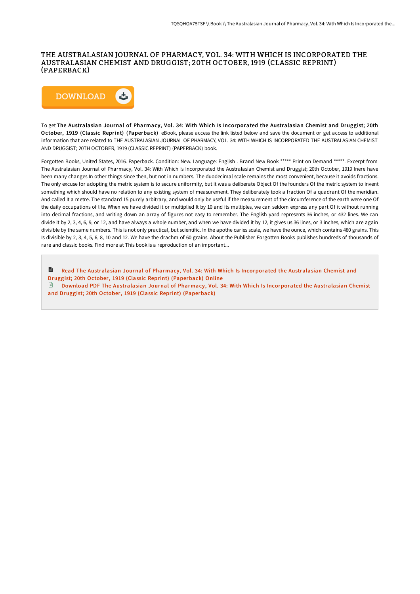### THE AUSTRALASIAN JOURNAL OF PHARMACY, VOL. 34: WITH WHICH IS INCORPORATED THE AUSTRALASIAN CHEMIST AND DRUGGIST; 20TH OCTOBER, 1919 (CLASSIC REPRINT) (PAPERBACK)



To get The Australasian Journal of Pharmacy, Vol. 34: With Which Is Incorporated the Australasian Chemist and Druggist; 20th October, 1919 (Classic Reprint) (Paperback) eBook, please access the link listed below and save the document or get access to additional information that are related to THE AUSTRALASIAN JOURNAL OF PHARMACY, VOL. 34: WITH WHICH IS INCORPORATED THE AUSTRALASIAN CHEMIST AND DRUGGIST; 20TH OCTOBER, 1919 (CLASSIC REPRINT) (PAPERBACK) book.

Forgotten Books, United States, 2016. Paperback. Condition: New. Language: English . Brand New Book \*\*\*\*\* Print on Demand \*\*\*\*\*. Excerpt from The Australasian Journal of Pharmacy, Vol. 34: With Which Is Incorporated the Australasian Chemist and Druggist; 20th October, 1919 Inere have been many changes In other things since then, but not in numbers. The duodecimal scale remains the most convenient, because it avoids fractions. The only excuse for adopting the metric system is to secure uniformity, but it was a deliberate Object Of the founders Of the metric system to invent something which should have no relation to any existing system of measurement. They deliberately took a fraction Of a quadrant Of the meridian. And called It a metre. The standard 15 purely arbitrary, and would only be useful if the measurement of the circumference of the earth were one Of the daily occupations of life. When we have divided it or multiplied It by 10 and its multiples, we can seldom express any part Of it without running into decimal fractions, and writing down an array of figures not easy to remember. The English yard represents 36 inches, or 432 lines. We can divide it by 2, 3, 4, 6, 9, or 12, and have always a whole number, and when we have divided it by 12, it gives us 36 lines, or 3 inches, which are again divisible by the same numbers. This is not only practical, but scientific. In the apothe caries scale, we have the ounce, which contains 480 grains. This Is divisible by 2, 3, 4, 5, 6, 8, 10 and 12. We have the drachm of 60 grains. About the Publisher Forgotten Books publishes hundreds of thousands of rare and classic books. Find more at This book is a reproduction of an important...

Read The Australasian Journal of Pharmacy, Vol. 34: With Which Is [Incorporated](http://albedo.media/the-australasian-journal-of-pharmacy-vol-34-with.html) the Australasian Chemist and Druggist; 20th October, 1919 (Classic Reprint) (Paperback) Online Download PDF The Australasian Journal of Pharmacy, Vol. 34: With Which Is [Incorporated](http://albedo.media/the-australasian-journal-of-pharmacy-vol-34-with.html) the Australasian Chemist and Druggist; 20th October, 1919 (Classic Reprint) (Paperback)